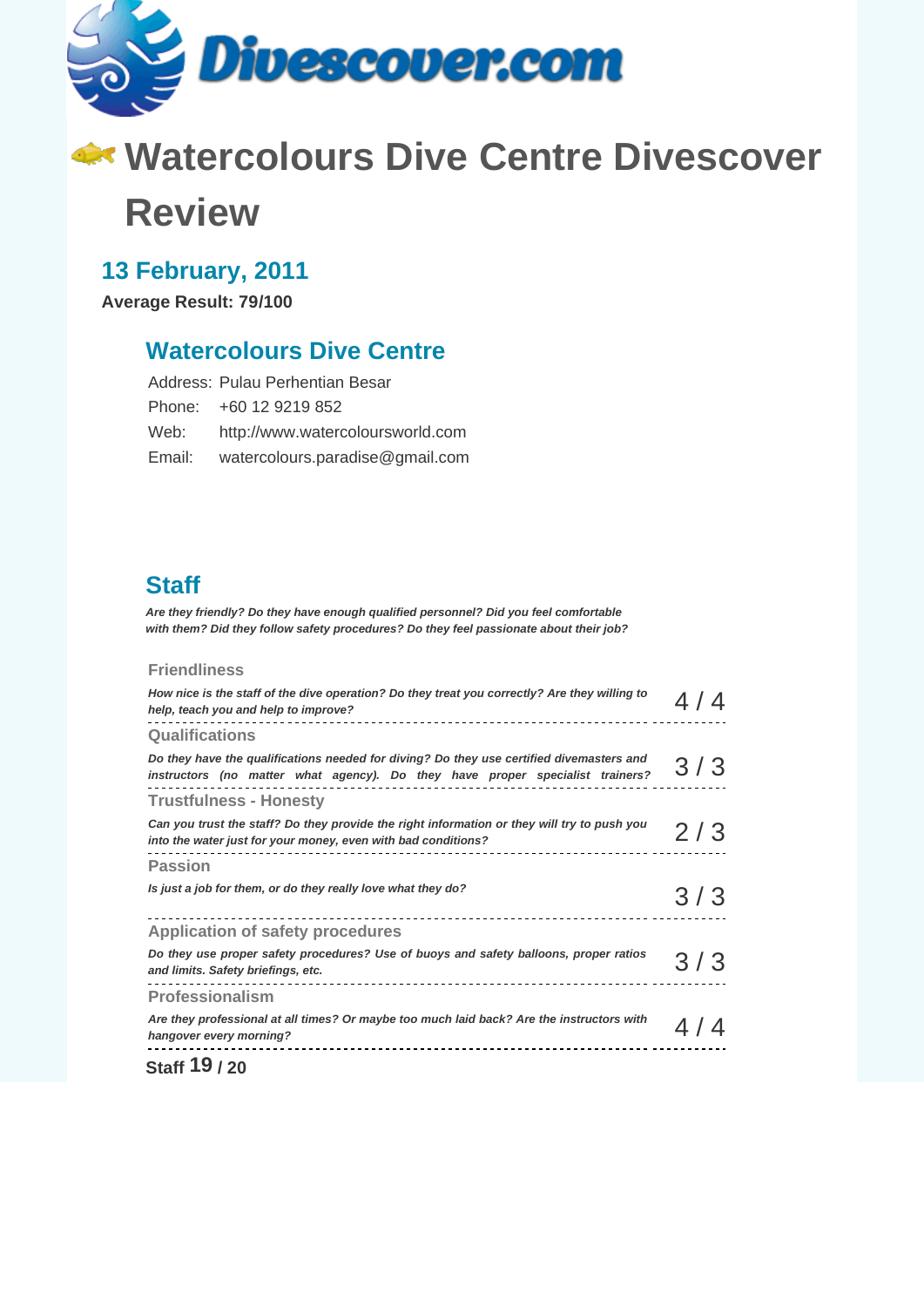

# **Watercolours Dive Centre Divescover Review**

# **13 February, 2011**

**Average Result: 79/100**

### **Watercolours Dive Centre**

| Address: Pulau Perhentian Besar  |
|----------------------------------|
| Phone: +60 12 9219 852           |
| http://www.watercoloursworld.com |
| watercolours.paradise@gmail.com  |
|                                  |

# **Staff**

**Are they friendly? Do they have enough qualified personnel? Did you feel comfortable with them? Did they follow safety procedures? Do they feel passionate about their job?**

#### **Friendliness**

| How nice is the staff of the dive operation? Do they treat you correctly? Are they willing to<br>help, teach you and help to improve?                                     |     |
|---------------------------------------------------------------------------------------------------------------------------------------------------------------------------|-----|
| <b>Qualifications</b>                                                                                                                                                     |     |
| Do they have the qualifications needed for diving? Do they use certified divemasters and<br>instructors (no matter what agency). Do they have proper specialist trainers? | 3/3 |
| <b>Trustfulness - Honesty</b>                                                                                                                                             |     |
| Can you trust the staff? Do they provide the right information or they will try to push you<br>into the water just for your money, even with bad conditions?              | 2/3 |
| <b>Passion</b>                                                                                                                                                            |     |
| Is just a job for them, or do they really love what they do?                                                                                                              | 3/3 |
| <b>Application of safety procedures</b>                                                                                                                                   |     |
| Do they use proper safety procedures? Use of buoys and safety balloons, proper ratios<br>and limits. Safety briefings, etc.                                               | 3/3 |
| <b>Professionalism</b>                                                                                                                                                    |     |
| Are they professional at all times? Or maybe too much laid back? Are the instructors with<br>hangover every morning?                                                      |     |
|                                                                                                                                                                           |     |

**Staff 19 / 20**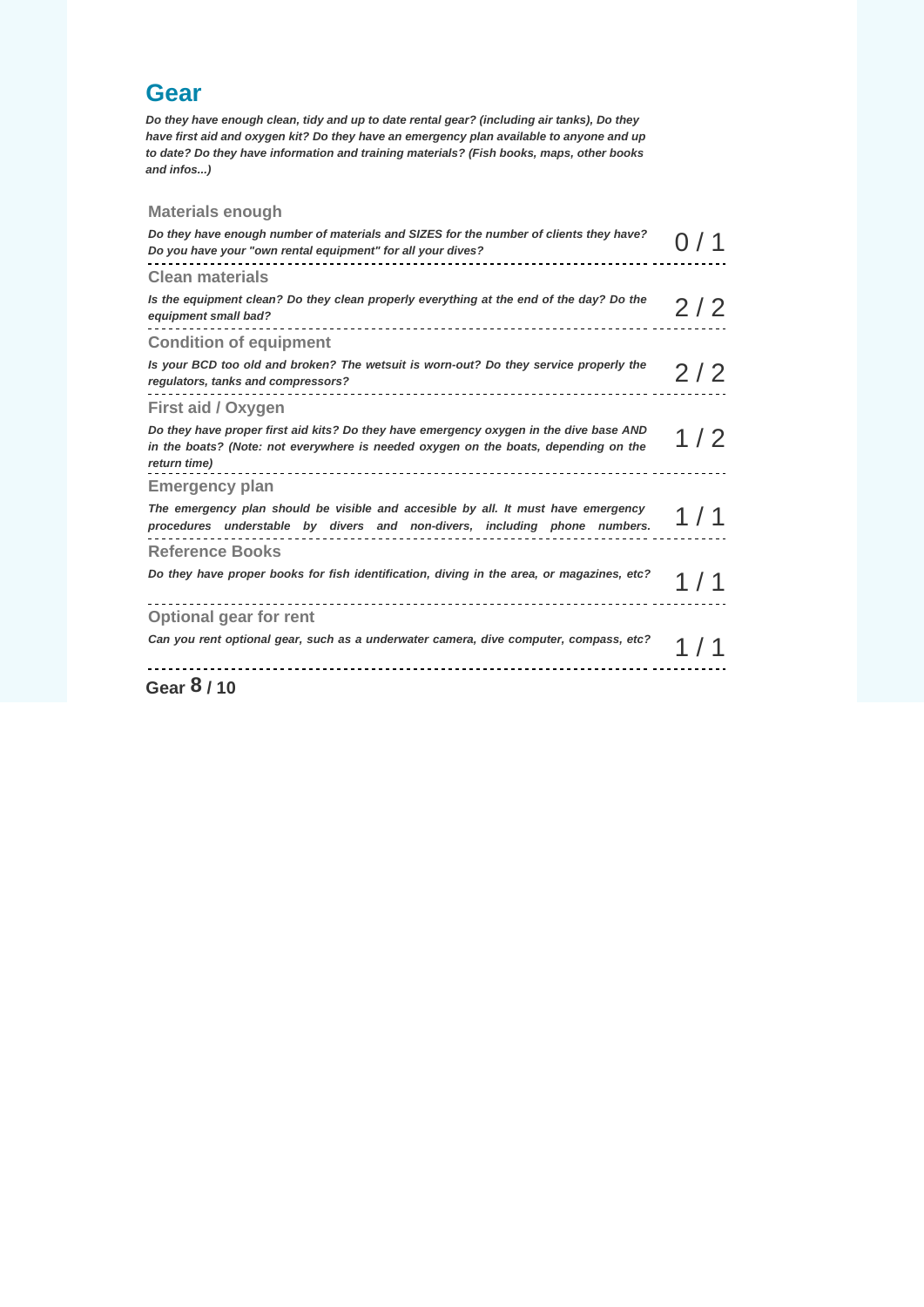### **Gear**

**Do they have enough clean, tidy and up to date rental gear? (including air tanks), Do they have first aid and oxygen kit? Do they have an emergency plan available to anyone and up to date? Do they have information and training materials? (Fish books, maps, other books and infos...)** 

#### **Materials enough**

| Do they have enough number of materials and SIZES for the number of clients they have?<br>Do you have your "own rental equipment" for all your dives?                                         |       |
|-----------------------------------------------------------------------------------------------------------------------------------------------------------------------------------------------|-------|
| <b>Clean materials</b>                                                                                                                                                                        |       |
| Is the equipment clean? Do they clean properly everything at the end of the day? Do the<br>equipment small bad?                                                                               | 2/2   |
| <b>Condition of equipment</b>                                                                                                                                                                 |       |
| Is your BCD too old and broken? The wetsuit is worn-out? Do they service properly the<br>regulators, tanks and compressors?                                                                   | 2/2   |
| First aid / Oxygen                                                                                                                                                                            |       |
| Do they have proper first aid kits? Do they have emergency oxygen in the dive base AND<br>in the boats? (Note: not everywhere is needed oxygen on the boats, depending on the<br>return time) | 1 / 2 |
| <b>Emergency plan</b>                                                                                                                                                                         |       |
| The emergency plan should be visible and accesible by all. It must have emergency<br>procedures understable by divers and non-divers, including phone numbers.                                | 1 / 1 |
| <b>Reference Books</b>                                                                                                                                                                        |       |
| Do they have proper books for fish identification, diving in the area, or magazines, etc?                                                                                                     |       |
| <b>Optional gear for rent</b>                                                                                                                                                                 |       |
| Can you rent optional gear, such as a underwater camera, dive computer, compass, etc?                                                                                                         |       |
| Gear 8/10                                                                                                                                                                                     |       |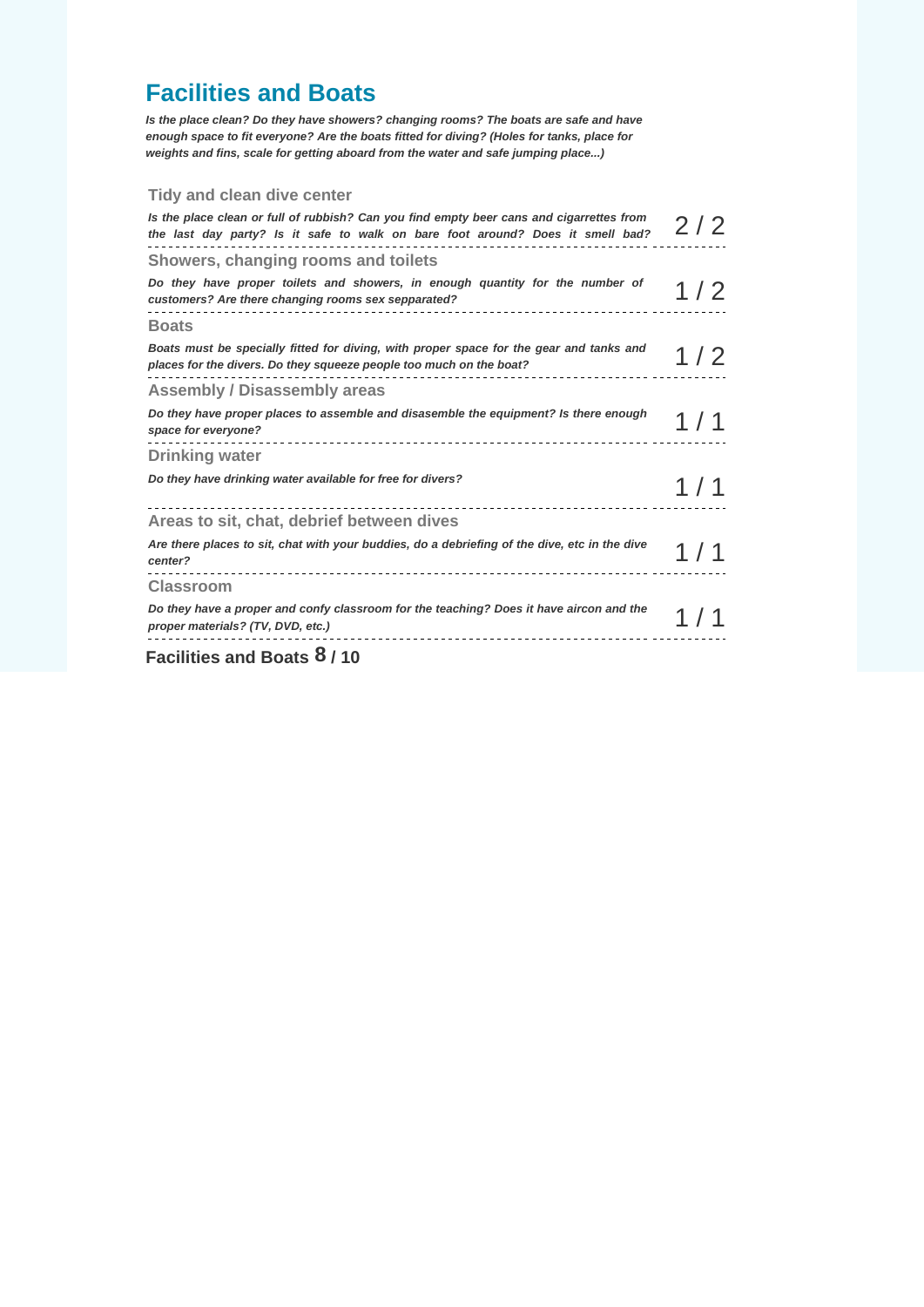# **Facilities and Boats**

**Is the place clean? Do they have showers? changing rooms? The boats are safe and have enough space to fit everyone? Are the boats fitted for diving? (Holes for tanks, place for weights and fins, scale for getting aboard from the water and safe jumping place...)** 

#### **Tidy and clean dive center**

| Is the place clean or full of rubbish? Can you find empty beer cans and cigarrettes from<br>the last day party? Is it safe to walk on bare foot around? Does it smell bad? | 2/2   |
|----------------------------------------------------------------------------------------------------------------------------------------------------------------------------|-------|
| Showers, changing rooms and toilets                                                                                                                                        |       |
| Do they have proper toilets and showers, in enough quantity for the number of<br>customers? Are there changing rooms sex sepparated?                                       | 1/2   |
| <b>Boats</b>                                                                                                                                                               |       |
| Boats must be specially fitted for diving, with proper space for the gear and tanks and<br>places for the divers. Do they squeeze people too much on the boat?             | 1/2   |
| <b>Assembly / Disassembly areas</b>                                                                                                                                        |       |
| Do they have proper places to assemble and disasemble the equipment? Is there enough<br>space for everyone?                                                                |       |
| <b>Drinking water</b>                                                                                                                                                      |       |
| Do they have drinking water available for free for divers?                                                                                                                 | 1 / 1 |
| Areas to sit, chat, debrief between dives                                                                                                                                  |       |
| Are there places to sit, chat with your buddies, do a debriefing of the dive, etc in the dive<br>center?<br>_______________________________                                |       |
| <b>Classroom</b>                                                                                                                                                           |       |
| Do they have a proper and confy classroom for the teaching? Does it have aircon and the<br>proper materials? (TV, DVD, etc.)                                               |       |
| Facilities and Boats 8/10                                                                                                                                                  |       |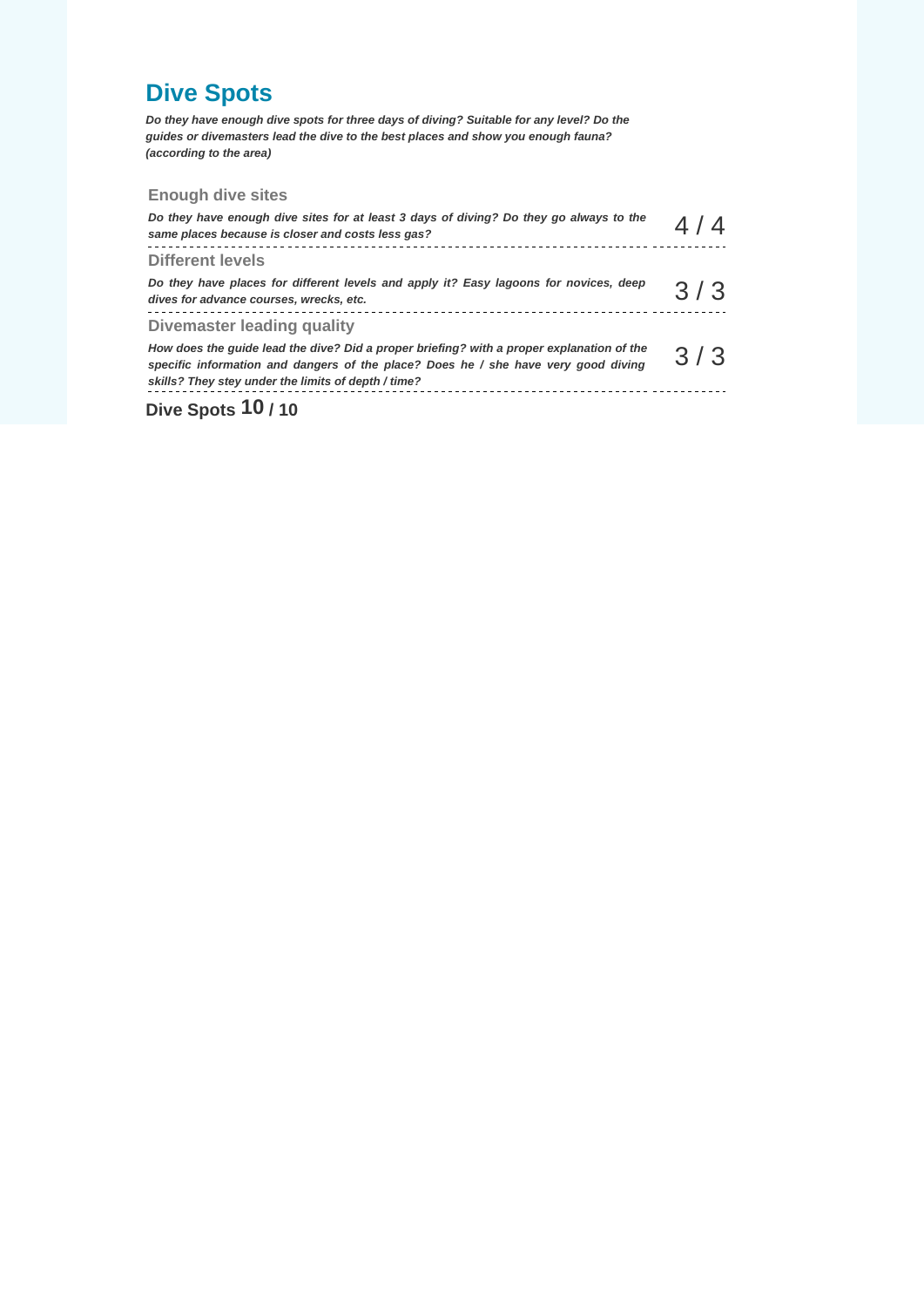# **Dive Spots**

**Do they have enough dive spots for three days of diving? Suitable for any level? Do the guides or divemasters lead the dive to the best places and show you enough fauna? (according to the area)** 

#### **Enough dive sites**

| <b>PLASSIMA</b> 140                                                                                                                                                                                                                    |     |
|----------------------------------------------------------------------------------------------------------------------------------------------------------------------------------------------------------------------------------------|-----|
| How does the guide lead the dive? Did a proper briefing? with a proper explanation of the<br>specific information and dangers of the place? Does he / she have very good diving<br>skills? They stey under the limits of depth / time? | 3/3 |
| Divemaster leading quality                                                                                                                                                                                                             |     |
| Do they have places for different levels and apply it? Easy lagoons for novices, deep<br>dives for advance courses, wrecks, etc.                                                                                                       | 3/3 |
| <b>Different levels</b>                                                                                                                                                                                                                |     |
| Do they have enough dive sites for at least 3 days of diving? Do they go always to the<br>same places because is closer and costs less gas?                                                                                            |     |

#### **Dive Spots 10 / 10**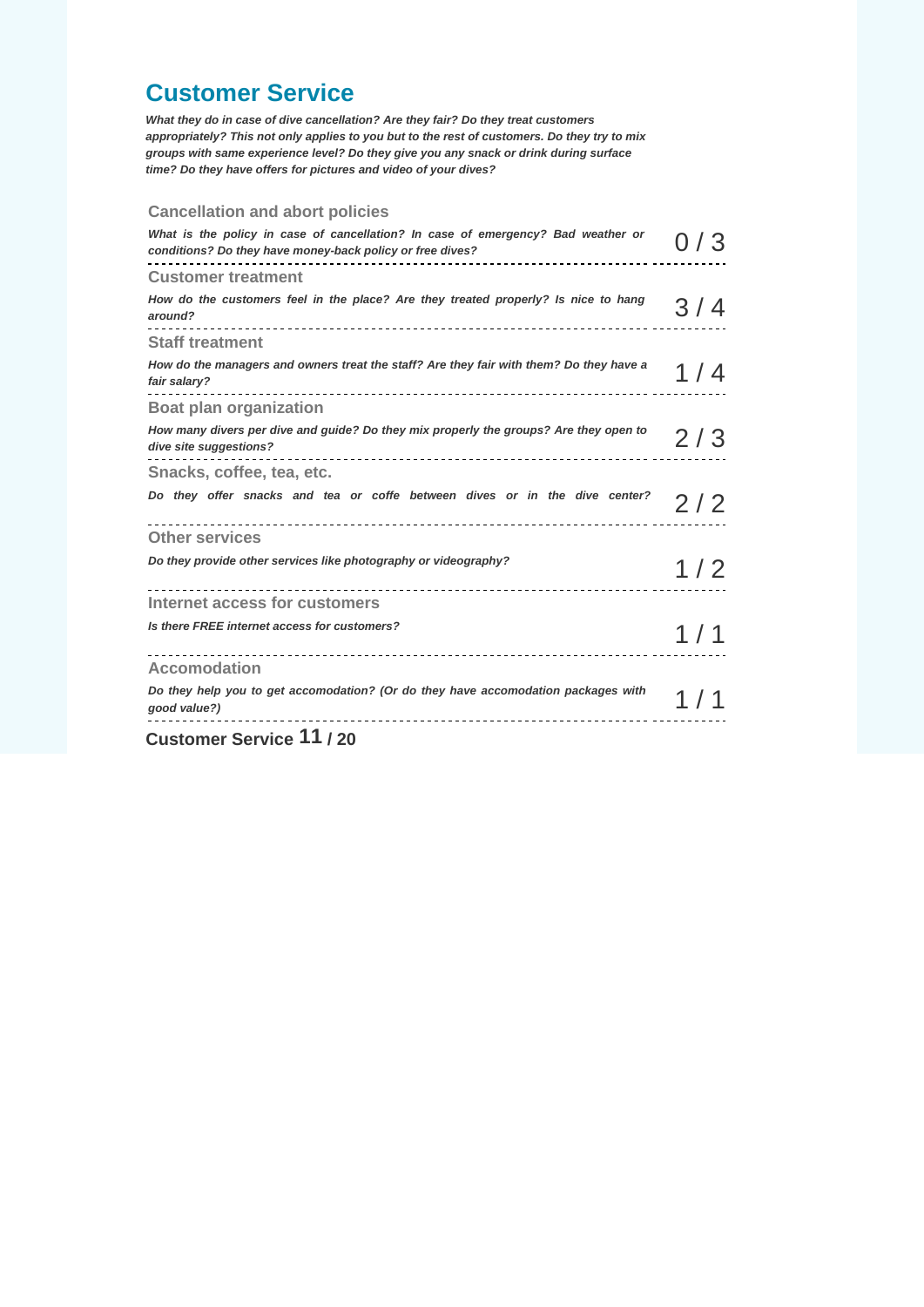### **Customer Service**

**What they do in case of dive cancellation? Are they fair? Do they treat customers appropriately? This not only applies to you but to the rest of customers. Do they try to mix groups with same experience level? Do they give you any snack or drink during surface time? Do they have offers for pictures and video of your dives?** 

#### **Cancellation and abort policies**

| $\sim$ $\sim$ 11 $\sim$                                                                                                                       |       |
|-----------------------------------------------------------------------------------------------------------------------------------------------|-------|
| Do they help you to get accomodation? (Or do they have accomodation packages with<br>good value?)                                             |       |
| <b>Accomodation</b>                                                                                                                           |       |
| Is there FREE internet access for customers?                                                                                                  | 1 / 1 |
| Internet access for customers                                                                                                                 |       |
| Do they provide other services like photography or videography?                                                                               | 1/2   |
| <b>Other services</b>                                                                                                                         |       |
| Do they offer snacks and tea or coffe between dives or in the dive center?                                                                    | 2/2   |
| Snacks, coffee, tea, etc.                                                                                                                     |       |
| How many divers per dive and guide? Do they mix properly the groups? Are they open to<br>dive site suggestions?                               | 2 / 3 |
| <b>Boat plan organization</b>                                                                                                                 |       |
| How do the managers and owners treat the staff? Are they fair with them? Do they have a<br>fair salary?                                       | 1 / 4 |
| <b>Staff treatment</b>                                                                                                                        |       |
| How do the customers feel in the place? Are they treated properly? Is nice to hang<br>around?                                                 | 3 / 4 |
| <b>Customer treatment</b>                                                                                                                     |       |
| What is the policy in case of cancellation? In case of emergency? Bad weather or<br>conditions? Do they have money-back policy or free dives? |       |

**Customer Service 11 / 20**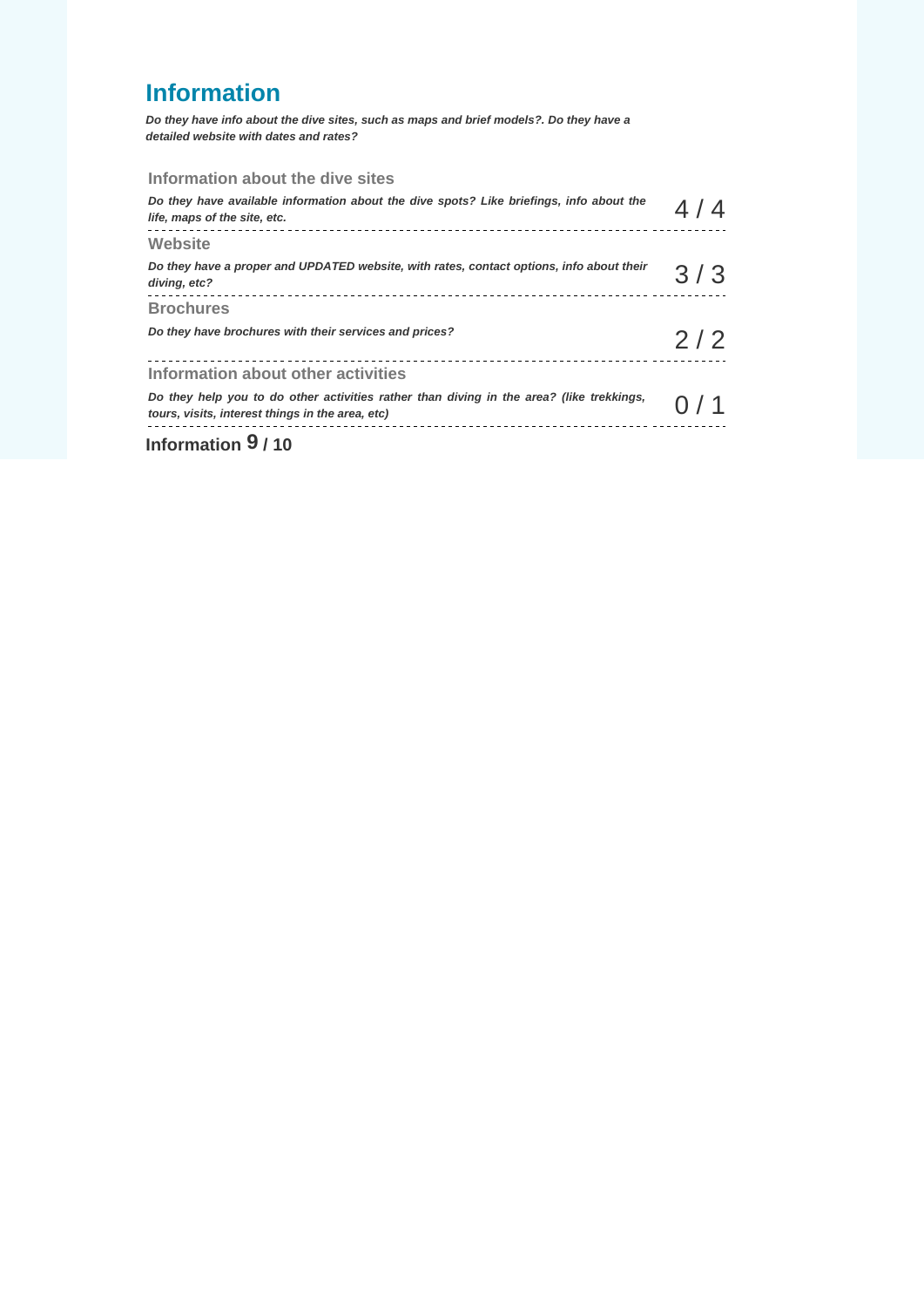# **Information**

**Do they have info about the dive sites, such as maps and brief models?. Do they have a detailed website with dates and rates?** 

#### **Information about the dive sites**

| $l_{\text{in}}$ <i>faunation</i> $0.140$                                                                                                     |        |  |
|----------------------------------------------------------------------------------------------------------------------------------------------|--------|--|
| Do they help you to do other activities rather than diving in the area? (like trekkings,<br>tours, visits, interest things in the area, etc) | () / 1 |  |
| Information about other activities                                                                                                           |        |  |
| Do they have brochures with their services and prices?                                                                                       | 2/2    |  |
| <b>Brochures</b>                                                                                                                             |        |  |
| Do they have a proper and UPDATED website, with rates, contact options, info about their<br>diving, etc?                                     | 3/3    |  |
| Website                                                                                                                                      |        |  |
| Do they have available information about the dive spots? Like briefings, info about the<br>life, maps of the site, etc.                      | 4/4    |  |

**Information 9 / 10**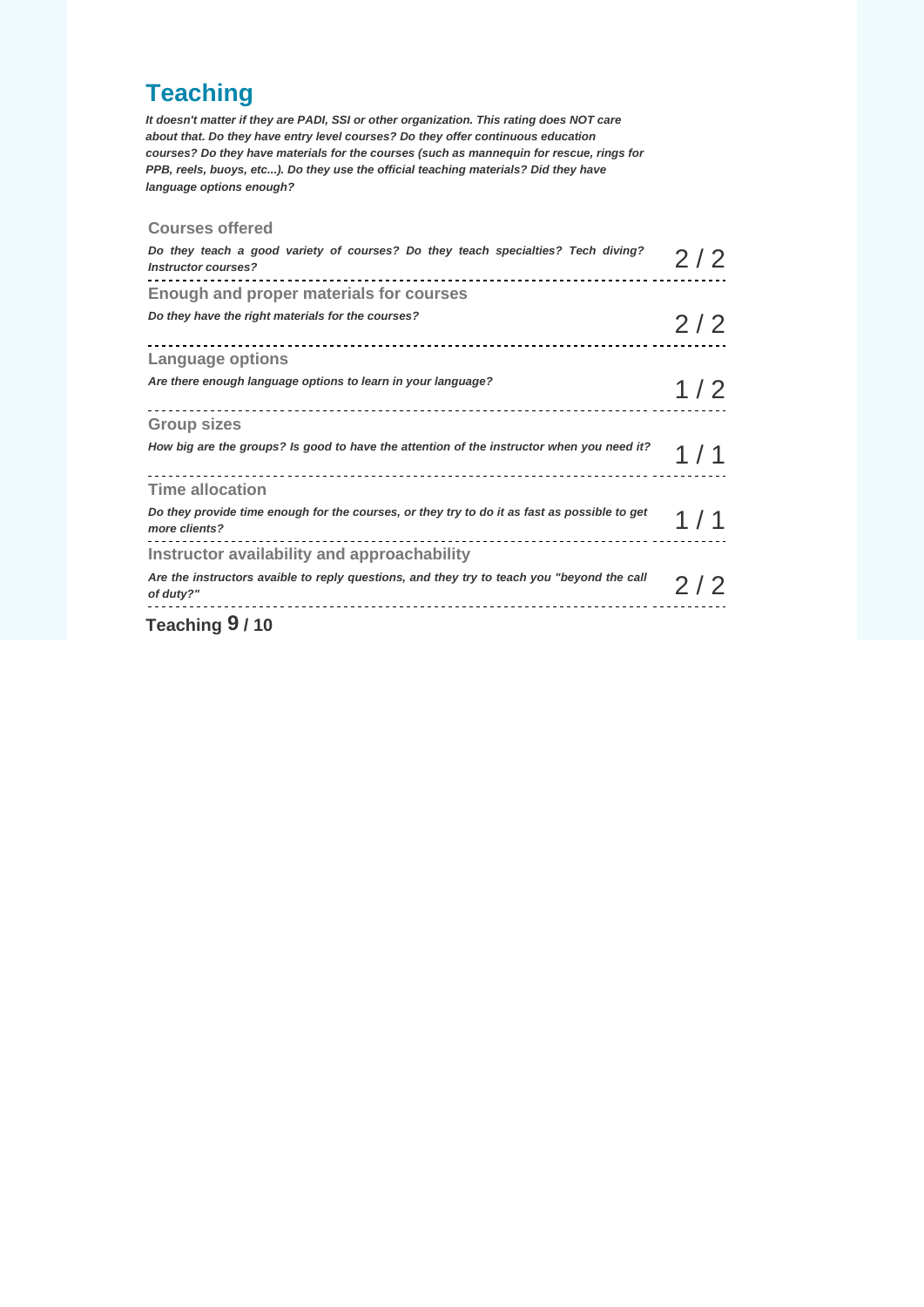# **Teaching**

**It doesn't matter if they are PADI, SSI or other organization. This rating does NOT care about that. Do they have entry level courses? Do they offer continuous education courses? Do they have materials for the courses (such as mannequin for rescue, rings for PPB, reels, buoys, etc...). Do they use the official teaching materials? Did they have language options enough?** 

#### **Courses offered**

| $T_{\text{each}}$ $\omega_{\text{a}}$ $\Omega$ $\mu$ $\Omega$                                                                                       |     |
|-----------------------------------------------------------------------------------------------------------------------------------------------------|-----|
| Are the instructors avaible to reply questions, and they try to teach you "beyond the call<br>of duty?"                                             | 2/2 |
| Instructor availability and approachability                                                                                                         |     |
| Do they provide time enough for the courses, or they try to do it as fast as possible to get<br>more clients?<br>---------------------------------- | 1/1 |
| <b>Time allocation</b>                                                                                                                              |     |
| How big are the groups? Is good to have the attention of the instructor when you need it?                                                           | 1/1 |
| <b>Group sizes</b>                                                                                                                                  |     |
| Are there enough language options to learn in your language?                                                                                        | 1/2 |
| <b>Language options</b>                                                                                                                             |     |
| Do they have the right materials for the courses?                                                                                                   | 2/2 |
| <b>Enough and proper materials for courses</b>                                                                                                      |     |
| Do they teach a good variety of courses? Do they teach specialties? Tech diving?<br><b>Instructor courses?</b>                                      | 2/2 |

#### **Teaching 9 / 10**